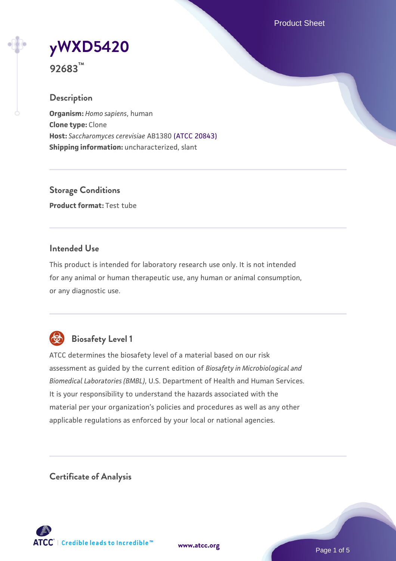Product Sheet



**92683™**

### **Description**

**Organism:** *Homo sapiens*, human **Clone type:** Clone **Host:** *Saccharomyces cerevisiae* AB1380 [\(ATCC 20843\)](https://www.atcc.org/products/20843) **Shipping information:** uncharacterized, slant

**Storage Conditions Product format:** Test tube

### **Intended Use**

This product is intended for laboratory research use only. It is not intended for any animal or human therapeutic use, any human or animal consumption, or any diagnostic use.



# **Biosafety Level 1**

ATCC determines the biosafety level of a material based on our risk assessment as guided by the current edition of *Biosafety in Microbiological and Biomedical Laboratories (BMBL)*, U.S. Department of Health and Human Services. It is your responsibility to understand the hazards associated with the material per your organization's policies and procedures as well as any other applicable regulations as enforced by your local or national agencies.

**Certificate of Analysis**

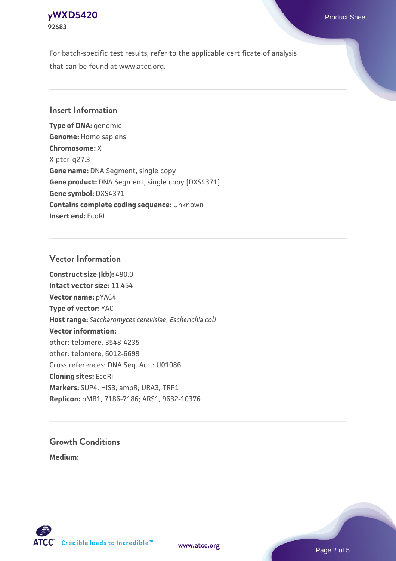## **[yWXD5420](https://www.atcc.org/products/92683)** Product Sheet **92683**

For batch-specific test results, refer to the applicable certificate of analysis that can be found at www.atcc.org.

### **Insert Information**

**Type of DNA:** genomic **Genome:** Homo sapiens **Chromosome:** X X pter-q27.3 **Gene name:** DNA Segment, single copy **Gene product:** DNA Segment, single copy [DXS4371] **Gene symbol:** DXS4371 **Contains complete coding sequence:** Unknown **Insert end:** EcoRI

#### **Vector Information**

**Construct size (kb):** 490.0 **Intact vector size:** 11.454 **Vector name:** pYAC4 **Type of vector:** YAC **Host range:** *Saccharomyces cerevisiae*; *Escherichia coli* **Vector information:** other: telomere, 3548-4235 other: telomere, 6012-6699 Cross references: DNA Seq. Acc.: U01086 **Cloning sites:** EcoRI **Markers:** SUP4; HIS3; ampR; URA3; TRP1 **Replicon:** pMB1, 7186-7186; ARS1, 9632-10376

# **Growth Conditions**

**Medium:** 



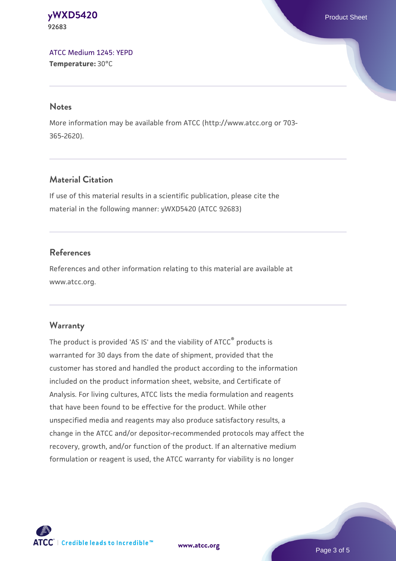#### **[yWXD5420](https://www.atcc.org/products/92683)** Product Sheet **92683**

[ATCC Medium 1245: YEPD](https://www.atcc.org/-/media/product-assets/documents/microbial-media-formulations/1/2/4/5/atcc-medium-1245.pdf?rev=705ca55d1b6f490a808a965d5c072196) **Temperature:** 30°C

#### **Notes**

More information may be available from ATCC (http://www.atcc.org or 703- 365-2620).

# **Material Citation**

If use of this material results in a scientific publication, please cite the material in the following manner: yWXD5420 (ATCC 92683)

# **References**

References and other information relating to this material are available at www.atcc.org.

# **Warranty**

The product is provided 'AS IS' and the viability of ATCC® products is warranted for 30 days from the date of shipment, provided that the customer has stored and handled the product according to the information included on the product information sheet, website, and Certificate of Analysis. For living cultures, ATCC lists the media formulation and reagents that have been found to be effective for the product. While other unspecified media and reagents may also produce satisfactory results, a change in the ATCC and/or depositor-recommended protocols may affect the recovery, growth, and/or function of the product. If an alternative medium formulation or reagent is used, the ATCC warranty for viability is no longer



**[www.atcc.org](http://www.atcc.org)**

Page 3 of 5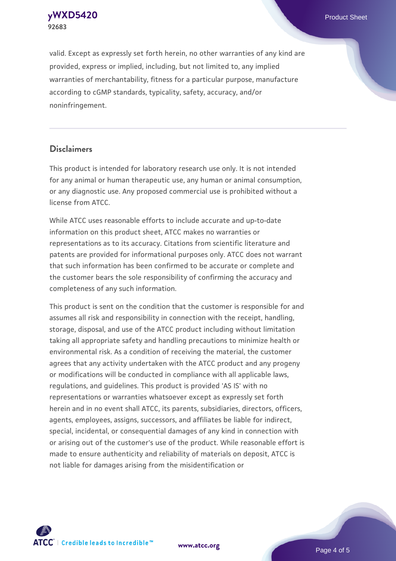**[yWXD5420](https://www.atcc.org/products/92683)** Product Sheet **92683**

valid. Except as expressly set forth herein, no other warranties of any kind are provided, express or implied, including, but not limited to, any implied warranties of merchantability, fitness for a particular purpose, manufacture according to cGMP standards, typicality, safety, accuracy, and/or noninfringement.

#### **Disclaimers**

This product is intended for laboratory research use only. It is not intended for any animal or human therapeutic use, any human or animal consumption, or any diagnostic use. Any proposed commercial use is prohibited without a license from ATCC.

While ATCC uses reasonable efforts to include accurate and up-to-date information on this product sheet, ATCC makes no warranties or representations as to its accuracy. Citations from scientific literature and patents are provided for informational purposes only. ATCC does not warrant that such information has been confirmed to be accurate or complete and the customer bears the sole responsibility of confirming the accuracy and completeness of any such information.

This product is sent on the condition that the customer is responsible for and assumes all risk and responsibility in connection with the receipt, handling, storage, disposal, and use of the ATCC product including without limitation taking all appropriate safety and handling precautions to minimize health or environmental risk. As a condition of receiving the material, the customer agrees that any activity undertaken with the ATCC product and any progeny or modifications will be conducted in compliance with all applicable laws, regulations, and guidelines. This product is provided 'AS IS' with no representations or warranties whatsoever except as expressly set forth herein and in no event shall ATCC, its parents, subsidiaries, directors, officers, agents, employees, assigns, successors, and affiliates be liable for indirect, special, incidental, or consequential damages of any kind in connection with or arising out of the customer's use of the product. While reasonable effort is made to ensure authenticity and reliability of materials on deposit, ATCC is not liable for damages arising from the misidentification or



**[www.atcc.org](http://www.atcc.org)**

Page 4 of 5